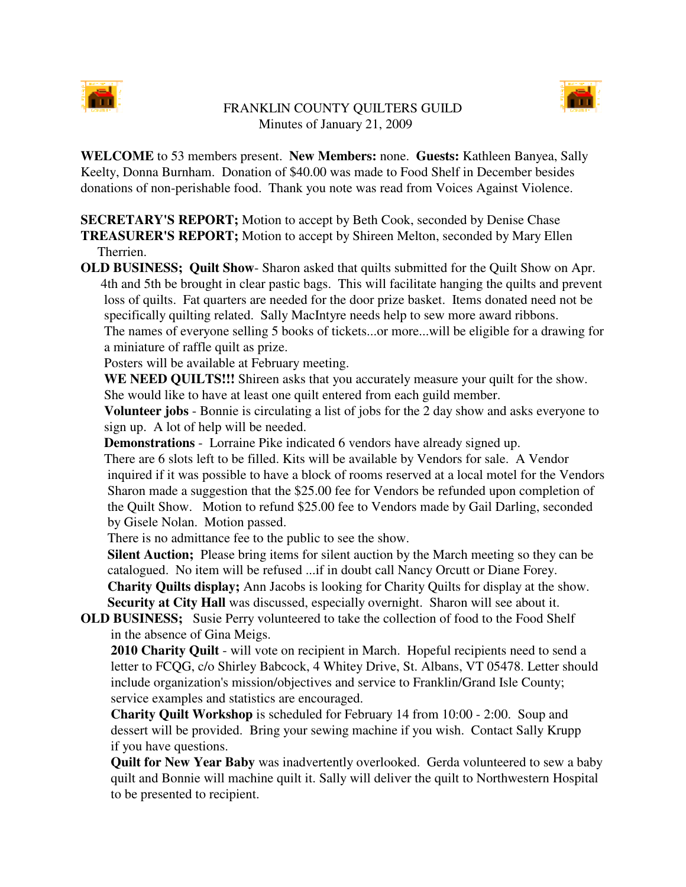

## FRANKLIN COUNTY QUILTERS GUILD Minutes of January 21, 2009



**WELCOME** to 53 members present. **New Members:** none. **Guests:** Kathleen Banyea, Sally Keelty, Donna Burnham. Donation of \$40.00 was made to Food Shelf in December besides donations of non-perishable food. Thank you note was read from Voices Against Violence.

**SECRETARY'S REPORT;** Motion to accept by Beth Cook, seconded by Denise Chase

**TREASURER'S REPORT;** Motion to accept by Shireen Melton, seconded by Mary Ellen Therrien.

**OLD BUSINESS; Quilt Show**- Sharon asked that quilts submitted for the Quilt Show on Apr. 4th and 5th be brought in clear pastic bags. This will facilitate hanging the quilts and prevent loss of quilts. Fat quarters are needed for the door prize basket. Items donated need not be specifically quilting related. Sally MacIntyre needs help to sew more award ribbons. The names of everyone selling 5 books of tickets...or more...will be eligible for a drawing for a miniature of raffle quilt as prize.

Posters will be available at February meeting.

**WE NEED QUILTS!!!** Shireen asks that you accurately measure your quilt for the show. She would like to have at least one quilt entered from each guild member.

**Volunteer jobs** - Bonnie is circulating a list of jobs for the 2 day show and asks everyone to sign up. A lot of help will be needed.

**Demonstrations** - Lorraine Pike indicated 6 vendors have already signed up.

There are 6 slots left to be filled. Kits will be available by Vendors for sale. A Vendor inquired if it was possible to have a block of rooms reserved at a local motel for the Vendors Sharon made a suggestion that the \$25.00 fee for Vendors be refunded upon completion of the Quilt Show. Motion to refund \$25.00 fee to Vendors made by Gail Darling, seconded by Gisele Nolan. Motion passed.

There is no admittance fee to the public to see the show.

**Silent Auction;** Please bring items for silent auction by the March meeting so they can be catalogued. No item will be refused ...if in doubt call Nancy Orcutt or Diane Forey. **Charity Quilts display;** Ann Jacobs is looking for Charity Quilts for display at the show.

**Security at City Hall** was discussed, especially overnight. Sharon will see about it.

**OLD BUSINESS;** Susie Perry volunteered to take the collection of food to the Food Shelf in the absence of Gina Meigs.

**2010 Charity Quilt** - will vote on recipient in March. Hopeful recipients need to send a letter to FCQG, c/o Shirley Babcock, 4 Whitey Drive, St. Albans, VT 05478. Letter should include organization's mission/objectives and service to Franklin/Grand Isle County; service examples and statistics are encouraged.

**Charity Quilt Workshop** is scheduled for February 14 from 10:00 - 2:00. Soup and dessert will be provided. Bring your sewing machine if you wish. Contact Sally Krupp if you have questions.

**Quilt for New Year Baby** was inadvertently overlooked. Gerda volunteered to sew a baby quilt and Bonnie will machine quilt it. Sally will deliver the quilt to Northwestern Hospital to be presented to recipient.